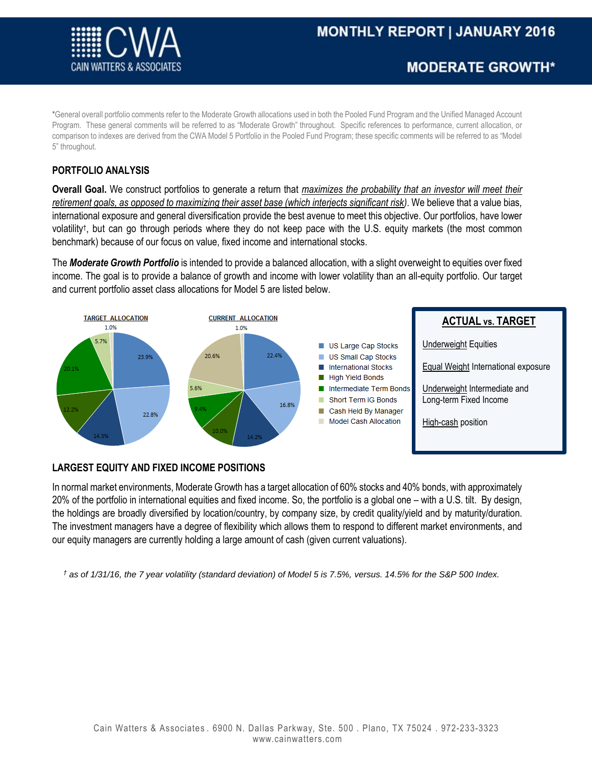

\*General overall portfolio comments refer to the Moderate Growth allocations used in both the Pooled Fund Program and the Unified Managed Account Program. These general comments will be referred to as "Moderate Growth" throughout. Specific references to performance, current allocation, or comparison to indexes are derived from the CWA Model 5 Portfolio in the Pooled Fund Program; these specific comments will be referred to as "Model 5" throughout.

# **PORTFOLIO ANALYSIS**

**Overall Goal.** We construct portfolios to generate a return that *maximizes the probability that an investor will meet their retirement goals, as opposed to maximizing their asset base (which interjects significant risk)*. We believe that a value bias, international exposure and general diversification provide the best avenue to meet this objective. Our portfolios, have lower volatility† , but can go through periods where they do not keep pace with the U.S. equity markets (the most common benchmark) because of our focus on value, fixed income and international stocks.

The *Moderate Growth Portfolio* is intended to provide a balanced allocation, with a slight overweight to equities over fixed income. The goal is to provide a balance of growth and income with lower volatility than an all-equity portfolio. Our target and current portfolio asset class allocations for Model 5 are listed below.



# **LARGEST EQUITY AND FIXED INCOME POSITIONS**

In normal market environments, Moderate Growth has a target allocation of 60% stocks and 40% bonds, with approximately 20% of the portfolio in international equities and fixed income. So, the portfolio is a global one – with a U.S. tilt. By design, the holdings are broadly diversified by location/country, by company size, by credit quality/yield and by maturity/duration. The investment managers have a degree of flexibility which allows them to respond to different market environments, and our equity managers are currently holding a large amount of cash (given current valuations).

*† as of 1/31/16, the 7 year volatility (standard deviation) of Model 5 is 7.5%, versus. 14.5% for the S&P 500 Index.*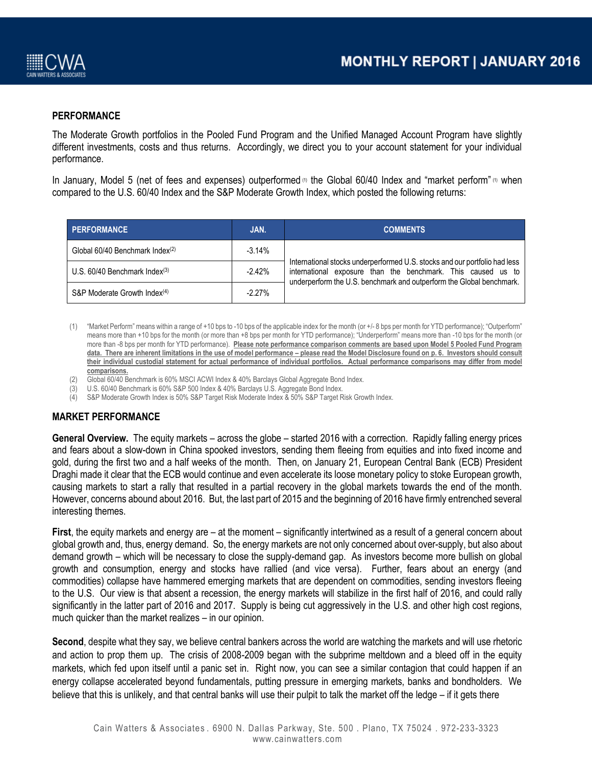

### **PERFORMANCE**

The Moderate Growth portfolios in the Pooled Fund Program and the Unified Managed Account Program have slightly different investments, costs and thus returns. Accordingly, we direct you to your account statement for your individual performance.

In January, Model 5 (net of fees and expenses) outperformed <sup>(1)</sup> the Global 60/40 Index and "market perform" (1) when compared to the U.S. 60/40 Index and the S&P Moderate Growth Index, which posted the following returns:

| <b>PERFORMANCE</b>                          | JAN.      | <b>COMMENTS</b>                                                                                                                                                                                                    |
|---------------------------------------------|-----------|--------------------------------------------------------------------------------------------------------------------------------------------------------------------------------------------------------------------|
| Global 60/40 Benchmark Index <sup>(2)</sup> | $-3.14%$  | International stocks underperformed U.S. stocks and our portfolio had less<br>international exposure than the benchmark. This caused us to<br>underperform the U.S. benchmark and outperform the Global benchmark. |
| U.S. $60/40$ Benchmark Index $(3)$          | $-2.42%$  |                                                                                                                                                                                                                    |
| S&P Moderate Growth Index <sup>(4)</sup>    | $-2.27\%$ |                                                                                                                                                                                                                    |

- (1) "Market Perform" means within a range of +10 bps to -10 bps of the applicable index for the month (or +/- 8 bps per month for YTD performance); "Outperform" means more than +10 bps for the month (or more than +8 bps per month for YTD performance); "Underperform" means more than -10 bps for the month (or more than -8 bps per month for YTD performance). **Please note performance comparison comments are based upon Model 5 Pooled Fund Program data. There are inherent limitations in the use of model performance – please read the Model Disclosure found on p. 6. Investors should consult their individual custodial statement for actual performance of individual portfolios. Actual performance comparisons may differ from model comparisons.**
- (2) Global 60/40 Benchmark is 60% MSCI ACWI Index & 40% Barclays Global Aggregate Bond Index.
- (3) U.S. 60/40 Benchmark is 60% S&P 500 Index & 40% Barclays U.S. Aggregate Bond Index.
- (4) S&P Moderate Growth Index is 50% S&P Target Risk Moderate Index & 50% S&P Target Risk Growth Index.

### **MARKET PERFORMANCE**

**General Overview.** The equity markets – across the globe – started 2016 with a correction. Rapidly falling energy prices and fears about a slow-down in China spooked investors, sending them fleeing from equities and into fixed income and gold, during the first two and a half weeks of the month. Then, on January 21, European Central Bank (ECB) President Draghi made it clear that the ECB would continue and even accelerate its loose monetary policy to stoke European growth, causing markets to start a rally that resulted in a partial recovery in the global markets towards the end of the month. However, concerns abound about 2016. But, the last part of 2015 and the beginning of 2016 have firmly entrenched several interesting themes.

**First**, the equity markets and energy are – at the moment – significantly intertwined as a result of a general concern about global growth and, thus, energy demand. So, the energy markets are not only concerned about over-supply, but also about demand growth – which will be necessary to close the supply-demand gap. As investors become more bullish on global growth and consumption, energy and stocks have rallied (and vice versa). Further, fears about an energy (and commodities) collapse have hammered emerging markets that are dependent on commodities, sending investors fleeing to the U.S. Our view is that absent a recession, the energy markets will stabilize in the first half of 2016, and could rally significantly in the latter part of 2016 and 2017. Supply is being cut aggressively in the U.S. and other high cost regions, much quicker than the market realizes – in our opinion.

**Second**, despite what they say, we believe central bankers across the world are watching the markets and will use rhetoric and action to prop them up. The crisis of 2008-2009 began with the subprime meltdown and a bleed off in the equity markets, which fed upon itself until a panic set in. Right now, you can see a similar contagion that could happen if an energy collapse accelerated beyond fundamentals, putting pressure in emerging markets, banks and bondholders. We believe that this is unlikely, and that central banks will use their pulpit to talk the market off the ledge – if it gets there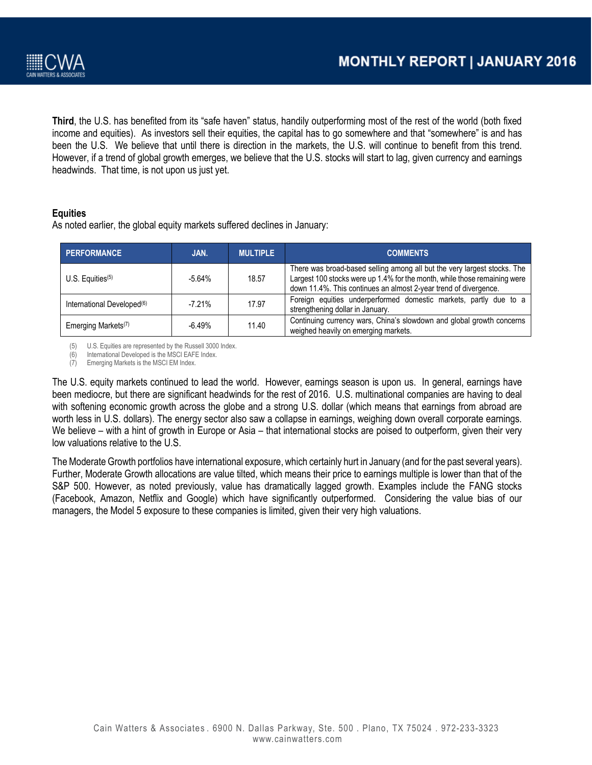



**Third**, the U.S. has benefited from its "safe haven" status, handily outperforming most of the rest of the world (both fixed income and equities). As investors sell their equities, the capital has to go somewhere and that "somewhere" is and has been the U.S. We believe that until there is direction in the markets, the U.S. will continue to benefit from this trend. However, if a trend of global growth emerges, we believe that the U.S. stocks will start to lag, given currency and earnings headwinds. That time, is not upon us just yet.

### **Equities**

As noted earlier, the global equity markets suffered declines in January:

| <b>PERFORMANCE</b>                     | JAN.     | <b>MULTIPLE</b> | <b>COMMENTS</b>                                                                                                                                                                                                           |
|----------------------------------------|----------|-----------------|---------------------------------------------------------------------------------------------------------------------------------------------------------------------------------------------------------------------------|
| U.S. Equities $(5)$                    | $-5.64%$ | 18.57           | There was broad-based selling among all but the very largest stocks. The<br>Largest 100 stocks were up 1.4% for the month, while those remaining were<br>down 11.4%. This continues an almost 2-year trend of divergence. |
| International Developed <sup>(6)</sup> | $-7.21%$ | 17.97           | Foreign equities underperformed domestic markets, partly due to a<br>strengthening dollar in January.                                                                                                                     |
| Emerging Markets <sup>(7)</sup>        | $-6.49%$ | 11.40           | Continuing currency wars, China's slowdown and global growth concerns<br>weighed heavily on emerging markets.                                                                                                             |

(5) U.S. Equities are represented by the Russell 3000 Index.

(6) International Developed is the MSCI EAFE Index.

(7) Emerging Markets is the MSCI EM Index.

The U.S. equity markets continued to lead the world. However, earnings season is upon us. In general, earnings have been mediocre, but there are significant headwinds for the rest of 2016. U.S. multinational companies are having to deal with softening economic growth across the globe and a strong U.S. dollar (which means that earnings from abroad are worth less in U.S. dollars). The energy sector also saw a collapse in earnings, weighing down overall corporate earnings. We believe – with a hint of growth in Europe or Asia – that international stocks are poised to outperform, given their very low valuations relative to the U.S.

The Moderate Growth portfolios have international exposure, which certainly hurt in January (and for the past several years). Further, Moderate Growth allocations are value tilted, which means their price to earnings multiple is lower than that of the S&P 500. However, as noted previously, value has dramatically lagged growth. Examples include the FANG stocks (Facebook, Amazon, Netflix and Google) which have significantly outperformed. Considering the value bias of our managers, the Model 5 exposure to these companies is limited, given their very high valuations.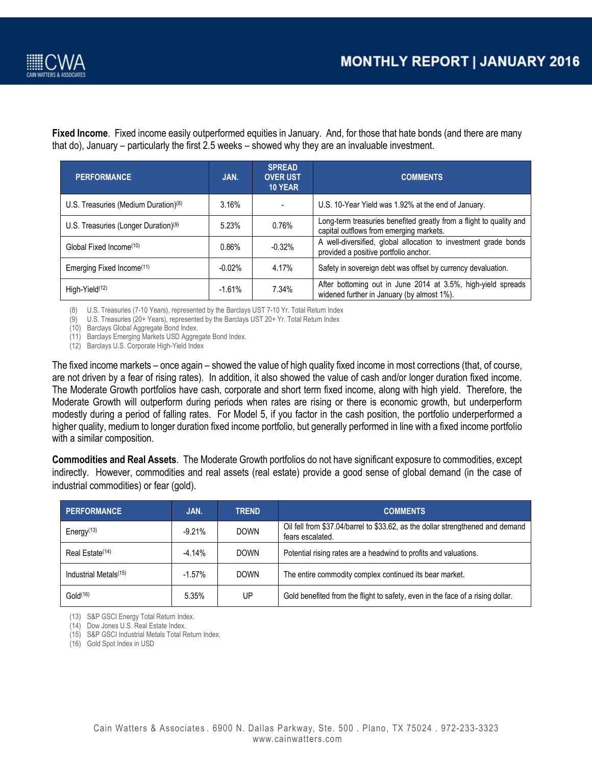

**Fixed Income**. Fixed income easily outperformed equities in January. And, for those that hate bonds (and there are many that do), January – particularly the first 2.5 weeks – showed why they are an invaluable investment.

| <b>PERFORMANCE</b>                               | JAN.     | <b>SPREAD</b><br><b>OVER UST</b><br><b>10 YEAR</b> | <b>COMMENTS</b>                                                                                                |
|--------------------------------------------------|----------|----------------------------------------------------|----------------------------------------------------------------------------------------------------------------|
| U.S. Treasuries (Medium Duration) $(8)$          | 3.16%    |                                                    | U.S. 10-Year Yield was 1.92% at the end of January.                                                            |
| U.S. Treasuries (Longer Duration) <sup>(9)</sup> | 5.23%    | 0.76%                                              | Long-term treasuries benefited greatly from a flight to quality and<br>capital outflows from emerging markets. |
| Global Fixed Income <sup>(10)</sup>              | 0.86%    | $-0.32%$                                           | A well-diversified, global allocation to investment grade bonds<br>provided a positive portfolio anchor.       |
| Emerging Fixed Income <sup>(11)</sup>            | $-0.02%$ | 4.17%                                              | Safety in sovereign debt was offset by currency devaluation.                                                   |
| High-Yield <sup>(12)</sup>                       | $-1.61%$ | 7.34%                                              | After bottoming out in June 2014 at 3.5%, high-yield spreads<br>widened further in January (by almost 1%).     |

(8) U.S. Treasuries (7-10 Years), represented by the Barclays UST 7-10 Yr. Total Return Index

(9) U.S. Treasuries (20+ Years), represented by the Barclays UST 20+ Yr. Total Return Index

(10) Barclays Global Aggregate Bond Index.

(11) Barclays Emerging Markets USD Aggregate Bond Index.

(12) Barclays U.S. Corporate High-Yield Index

The fixed income markets – once again – showed the value of high quality fixed income in most corrections (that, of course, are not driven by a fear of rising rates). In addition, it also showed the value of cash and/or longer duration fixed income. The Moderate Growth portfolios have cash, corporate and short term fixed income, along with high yield. Therefore, the Moderate Growth will outperform during periods when rates are rising or there is economic growth, but underperform modestly during a period of falling rates. For Model 5, if you factor in the cash position, the portfolio underperformed a higher quality, medium to longer duration fixed income portfolio, but generally performed in line with a fixed income portfolio with a similar composition.

**Commodities and Real Assets**. The Moderate Growth portfolios do not have significant exposure to commodities, except indirectly. However, commodities and real assets (real estate) provide a good sense of global demand (in the case of industrial commodities) or fear (gold).

| <b>PERFORMANCE</b>                | JAN.      | <b>TREND</b> | <b>COMMENTS</b>                                                                                    |
|-----------------------------------|-----------|--------------|----------------------------------------------------------------------------------------------------|
| Energy $(13)$                     | $-9.21%$  | <b>DOWN</b>  | Oil fell from \$37.04/barrel to \$33.62, as the dollar strengthened and demand<br>fears escalated. |
| Real Estate <sup>(14)</sup>       | $-4.14%$  | <b>DOWN</b>  | Potential rising rates are a headwind to profits and valuations.                                   |
| Industrial Metals <sup>(15)</sup> | $-1.57\%$ | <b>DOWN</b>  | The entire commodity complex continued its bear market.                                            |
| Gold <sup>(16)</sup>              | 5.35%     | UP           | Gold benefited from the flight to safety, even in the face of a rising dollar.                     |

(13) S&P GSCI Energy Total Return Index.

(14) Dow Jones U.S. Real Estate Index.

(15) S&P GSCI Industrial Metals Total Return Index.

(16) Gold Spot Index in USD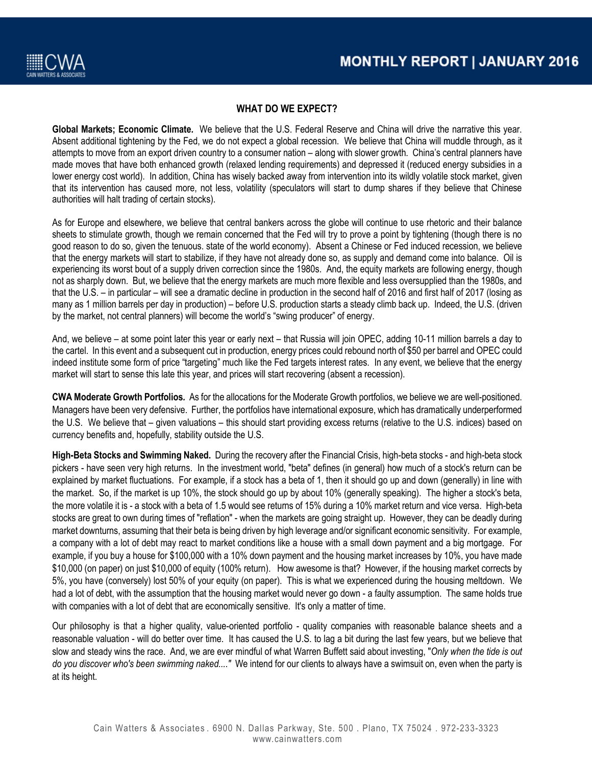

# **WHAT DO WE EXPECT?**

**Global Markets; Economic Climate***.* We believe that the U.S. Federal Reserve and China will drive the narrative this year. Absent additional tightening by the Fed, we do not expect a global recession. We believe that China will muddle through, as it attempts to move from an export driven country to a consumer nation – along with slower growth. China's central planners have made moves that have both enhanced growth (relaxed lending requirements) and depressed it (reduced energy subsidies in a lower energy cost world). In addition, China has wisely backed away from intervention into its wildly volatile stock market, given that its intervention has caused more, not less, volatility (speculators will start to dump shares if they believe that Chinese authorities will halt trading of certain stocks).

As for Europe and elsewhere, we believe that central bankers across the globe will continue to use rhetoric and their balance sheets to stimulate growth, though we remain concerned that the Fed will try to prove a point by tightening (though there is no good reason to do so, given the tenuous. state of the world economy). Absent a Chinese or Fed induced recession, we believe that the energy markets will start to stabilize, if they have not already done so, as supply and demand come into balance. Oil is experiencing its worst bout of a supply driven correction since the 1980s. And, the equity markets are following energy, though not as sharply down. But, we believe that the energy markets are much more flexible and less oversupplied than the 1980s, and that the U.S. – in particular – will see a dramatic decline in production in the second half of 2016 and first half of 2017 (losing as many as 1 million barrels per day in production) – before U.S. production starts a steady climb back up. Indeed, the U.S. (driven by the market, not central planners) will become the world's "swing producer" of energy.

And, we believe – at some point later this year or early next – that Russia will join OPEC, adding 10-11 million barrels a day to the cartel. In this event and a subsequent cut in production, energy prices could rebound north of \$50 per barrel and OPEC could indeed institute some form of price "targeting" much like the Fed targets interest rates. In any event, we believe that the energy market will start to sense this late this year, and prices will start recovering (absent a recession).

**CWA Moderate Growth Portfolios***.* As for the allocations for the Moderate Growth portfolios, we believe we are well-positioned. Managers have been very defensive. Further, the portfolios have international exposure, which has dramatically underperformed the U.S. We believe that – given valuations – this should start providing excess returns (relative to the U.S. indices) based on currency benefits and, hopefully, stability outside the U.S.

**High-Beta Stocks and Swimming Naked.** During the recovery after the Financial Crisis, high-beta stocks - and high-beta stock pickers - have seen very high returns. In the investment world, "beta" defines (in general) how much of a stock's return can be explained by market fluctuations. For example, if a stock has a beta of 1, then it should go up and down (generally) in line with the market. So, if the market is up 10%, the stock should go up by about 10% (generally speaking). The higher a stock's beta, the more volatile it is - a stock with a beta of 1.5 would see returns of 15% during a 10% market return and vice versa. High-beta stocks are great to own during times of "reflation" - when the markets are going straight up. However, they can be deadly during market downturns, assuming that their beta is being driven by high leverage and/or significant economic sensitivity. For example, a company with a lot of debt may react to market conditions like a house with a small down payment and a big mortgage. For example, if you buy a house for \$100,000 with a 10% down payment and the housing market increases by 10%, you have made \$10,000 (on paper) on just \$10,000 of equity (100% return). How awesome is that? However, if the housing market corrects by 5%, you have (conversely) lost 50% of your equity (on paper). This is what we experienced during the housing meltdown. We had a lot of debt, with the assumption that the housing market would never go down - a faulty assumption. The same holds true with companies with a lot of debt that are economically sensitive. It's only a matter of time.

Our philosophy is that a higher quality, value-oriented portfolio - quality companies with reasonable balance sheets and a reasonable valuation - will do better over time. It has caused the U.S. to lag a bit during the last few years, but we believe that slow and steady wins the race. And, we are ever mindful of what Warren Buffett said about investing, "*Only when the tide is out do you discover who's been swimming naked...."* We intend for our clients to always have a swimsuit on, even when the party is at its height.